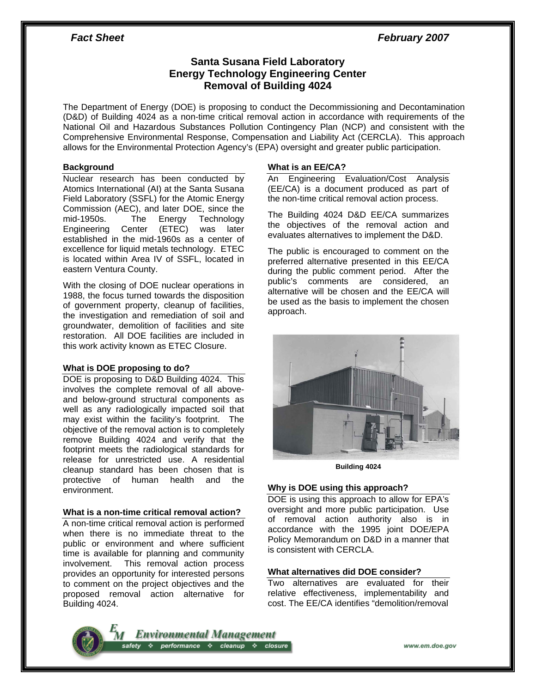# *Fact Sheet February 2007*

# **Santa Susana Field Laboratory Energy Technology Engineering Center Removal of Building 4024**

The Department of Energy (DOE) is proposing to conduct the Decommissioning and Decontamination (D&D) of Building 4024 as a non-time critical removal action in accordance with requirements of the National Oil and Hazardous Substances Pollution Contingency Plan (NCP) and consistent with the Comprehensive Environmental Response, Compensation and Liability Act (CERCLA). This approach allows for the Environmental Protection Agency's (EPA) oversight and greater public participation.

## **Background**

Nuclear research has been conducted by Atomics International (AI) at the Santa Susana Field Laboratory (SSFL) for the Atomic Energy Commission (AEC), and later DOE, since the mid-1950s. The Energy Technology Engineering Center (ETEC) was later established in the mid-1960s as a center of excellence for liquid metals technology. ETEC is located within Area IV of SSFL, located in eastern Ventura County.

With the closing of DOE nuclear operations in 1988, the focus turned towards the disposition of government property, cleanup of facilities, the investigation and remediation of soil and groundwater, demolition of facilities and site restoration. All DOE facilities are included in this work activity known as ETEC Closure.

# **What is DOE proposing to do?**

DOE is proposing to D&D Building 4024. This involves the complete removal of all aboveand below-ground structural components as well as any radiologically impacted soil that may exist within the facility's footprint. The objective of the removal action is to completely remove Building 4024 and verify that the footprint meets the radiological standards for release for unrestricted use. A residential cleanup standard has been chosen that is protective of human health and the environment.

## **What is a non-time critical removal action?**

A non-time critical removal action is performed when there is no immediate threat to the public or environment and where sufficient time is available for planning and community involvement. This removal action process provides an opportunity for interested persons to comment on the project objectives and the proposed removal action alternative for Building 4024.

# **What is an EE/CA?**

An Engineering Evaluation/Cost Analysis (EE/CA) is a document produced as part of the non-time critical removal action process.

The Building 4024 D&D EE/CA summarizes the objectives of the removal action and evaluates alternatives to implement the D&D.

The public is encouraged to comment on the preferred alternative presented in this EE/CA during the public comment period. After the public's comments are considered, an alternative will be chosen and the EE/CA will be used as the basis to implement the chosen approach.



**Building 4024** 

## **Why is DOE using this approach?**

DOE is using this approach to allow for EPA's oversight and more public participation. Use of removal action authority also is in accordance with the 1995 joint DOE/EPA Policy Memorandum on D&D in a manner that is consistent with CERCLA.

## **What alternatives did DOE consider?**

Two alternatives are evaluated for their relative effectiveness, implementability and cost. The EE/CA identifies "demolition/removal